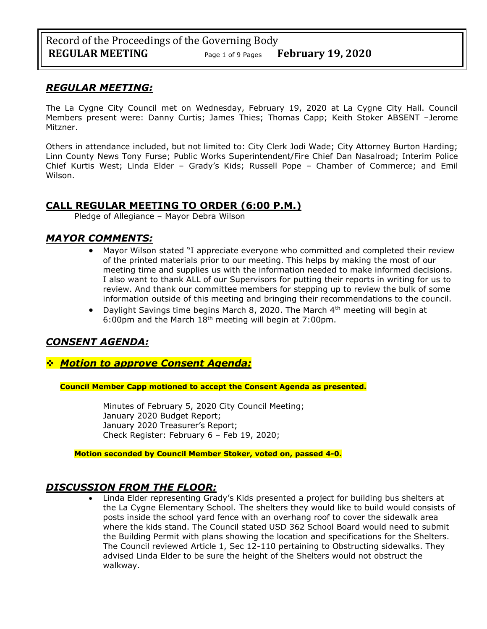## *REGULAR MEETING:*

The La Cygne City Council met on Wednesday, February 19, 2020 at La Cygne City Hall. Council Members present were: Danny Curtis; James Thies; Thomas Capp; Keith Stoker ABSENT –Jerome Mitzner.

Others in attendance included, but not limited to: City Clerk Jodi Wade; City Attorney Burton Harding; Linn County News Tony Furse; Public Works Superintendent/Fire Chief Dan Nasalroad; Interim Police Chief Kurtis West; Linda Elder – Grady's Kids; Russell Pope – Chamber of Commerce; and Emil Wilson.

# **CALL REGULAR MEETING TO ORDER (6:00 P.M.)**

Pledge of Allegiance – Mayor Debra Wilson

## *MAYOR COMMENTS:*

- Mayor Wilson stated "I appreciate everyone who committed and completed their review of the printed materials prior to our meeting. This helps by making the most of our meeting time and supplies us with the information needed to make informed decisions. I also want to thank ALL of our Supervisors for putting their reports in writing for us to review. And thank our committee members for stepping up to review the bulk of some information outside of this meeting and bringing their recommendations to the council.
- Daylight Savings time begins March 8, 2020. The March 4th meeting will begin at 6:00pm and the March 18th meeting will begin at 7:00pm.

# *CONSENT AGENDA:*

## ❖ *Motion to approve Consent Agenda:*

**Council Member Capp motioned to accept the Consent Agenda as presented.**

Minutes of February 5, 2020 City Council Meeting; January 2020 Budget Report; January 2020 Treasurer's Report; Check Register: February 6 – Feb 19, 2020;

**Motion seconded by Council Member Stoker, voted on, passed 4-0.** 

## *DISCUSSION FROM THE FLOOR:*

• Linda Elder representing Grady's Kids presented a project for building bus shelters at the La Cygne Elementary School. The shelters they would like to build would consists of posts inside the school yard fence with an overhang roof to cover the sidewalk area where the kids stand. The Council stated USD 362 School Board would need to submit the Building Permit with plans showing the location and specifications for the Shelters. The Council reviewed Article 1, Sec 12-110 pertaining to Obstructing sidewalks. They advised Linda Elder to be sure the height of the Shelters would not obstruct the walkway.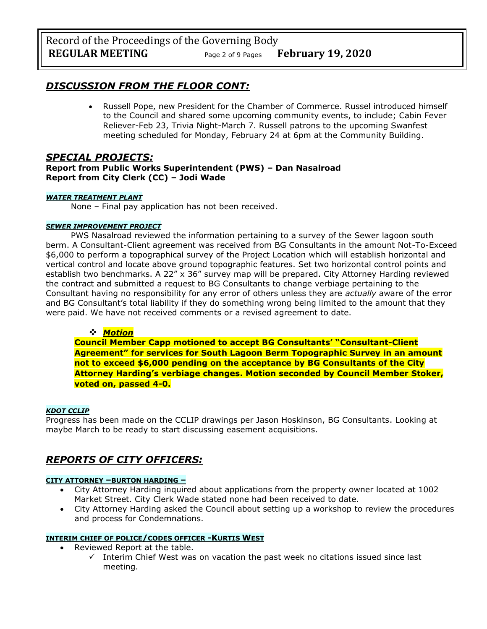# *DISCUSSION FROM THE FLOOR CONT:*

• Russell Pope, new President for the Chamber of Commerce. Russel introduced himself to the Council and shared some upcoming community events, to include; Cabin Fever Reliever-Feb 23, Trivia Night-March 7. Russell patrons to the upcoming Swanfest meeting scheduled for Monday, February 24 at 6pm at the Community Building.

## *SPECIAL PROJECTS:*

**Report from Public Works Superintendent (PWS) – Dan Nasalroad Report from City Clerk (CC) – Jodi Wade**

#### *WATER TREATMENT PLANT*

None – Final pay application has not been received.

#### *SEWER IMPROVEMENT PROJECT*

PWS Nasalroad reviewed the information pertaining to a survey of the Sewer lagoon south berm. A Consultant-Client agreement was received from BG Consultants in the amount Not-To-Exceed \$6,000 to perform a topographical survey of the Project Location which will establish horizontal and vertical control and locate above ground topographic features. Set two horizontal control points and establish two benchmarks. A 22" x 36" survey map will be prepared. City Attorney Harding reviewed the contract and submitted a request to BG Consultants to change verbiage pertaining to the Consultant having no responsibility for any error of others unless they are *actually* aware of the error and BG Consultant's total liability if they do something wrong being limited to the amount that they were paid. We have not received comments or a revised agreement to date.

### ❖ *Motion*

**Council Member Capp motioned to accept BG Consultants' "Consultant-Client Agreement" for services for South Lagoon Berm Topographic Survey in an amount not to exceed \$6,000 pending on the acceptance by BG Consultants of the City Attorney Harding's verbiage changes. Motion seconded by Council Member Stoker, voted on, passed 4-0.**

#### *KDOT CCLIP*

Progress has been made on the CCLIP drawings per Jason Hoskinson, BG Consultants. Looking at maybe March to be ready to start discussing easement acquisitions.

# *REPORTS OF CITY OFFICERS:*

#### **CITY ATTORNEY –BURTON HARDING –**

- City Attorney Harding inquired about applications from the property owner located at 1002 Market Street. City Clerk Wade stated none had been received to date.
- City Attorney Harding asked the Council about setting up a workshop to review the procedures and process for Condemnations.

### **INTERIM CHIEF OF POLICE/CODES OFFICER -KURTIS WEST**

- Reviewed Report at the table.
	- $\checkmark$  Interim Chief West was on vacation the past week no citations issued since last meeting.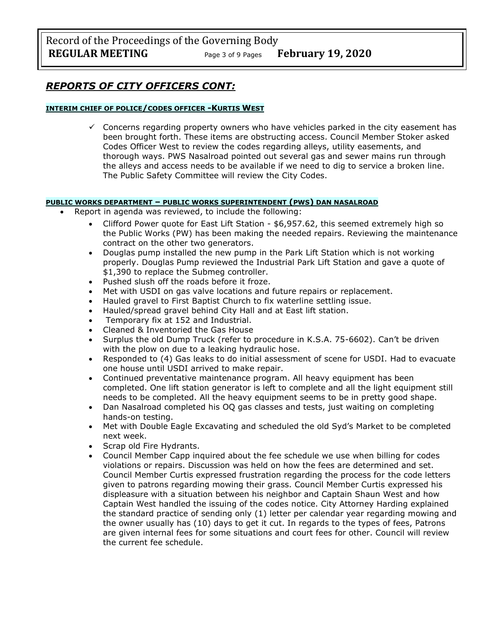Record of the Proceedings of the Governing Body **REGULAR MEETING** Page <sup>3</sup> of 9 Pages **February 19, 2020**

## *REPORTS OF CITY OFFICERS CONT:*

#### **INTERIM CHIEF OF POLICE/CODES OFFICER -KURTIS WEST**

 $\checkmark$  Concerns regarding property owners who have vehicles parked in the city easement has been brought forth. These items are obstructing access. Council Member Stoker asked Codes Officer West to review the codes regarding alleys, utility easements, and thorough ways. PWS Nasalroad pointed out several gas and sewer mains run through the alleys and access needs to be available if we need to dig to service a broken line. The Public Safety Committee will review the City Codes.

#### **PUBLIC WORKS DEPARTMENT – PUBLIC WORKS SUPERINTENDENT (PWS) DAN NASALROAD**

- Report in agenda was reviewed, to include the following:
	- Clifford Power quote for East Lift Station \$6,957.62, this seemed extremely high so the Public Works (PW) has been making the needed repairs. Reviewing the maintenance contract on the other two generators.
	- Douglas pump installed the new pump in the Park Lift Station which is not working properly. Douglas Pump reviewed the Industrial Park Lift Station and gave a quote of \$1,390 to replace the Submeg controller.
	- Pushed slush off the roads before it froze.
	- Met with USDI on gas valve locations and future repairs or replacement.
	- Hauled gravel to First Baptist Church to fix waterline settling issue.
	- Hauled/spread gravel behind City Hall and at East lift station.
	- Temporary fix at 152 and Industrial.
	- Cleaned & Inventoried the Gas House
	- Surplus the old Dump Truck (refer to procedure in K.S.A. 75-6602). Can't be driven with the plow on due to a leaking hydraulic hose.
	- Responded to (4) Gas leaks to do initial assessment of scene for USDI. Had to evacuate one house until USDI arrived to make repair.
	- Continued preventative maintenance program. All heavy equipment has been completed. One lift station generator is left to complete and all the light equipment still needs to be completed. All the heavy equipment seems to be in pretty good shape.
	- Dan Nasalroad completed his OQ gas classes and tests, just waiting on completing hands-on testing.
	- Met with Double Eagle Excavating and scheduled the old Syd's Market to be completed next week.
	- Scrap old Fire Hydrants.
	- Council Member Capp inquired about the fee schedule we use when billing for codes violations or repairs. Discussion was held on how the fees are determined and set. Council Member Curtis expressed frustration regarding the process for the code letters given to patrons regarding mowing their grass. Council Member Curtis expressed his displeasure with a situation between his neighbor and Captain Shaun West and how Captain West handled the issuing of the codes notice. City Attorney Harding explained the standard practice of sending only (1) letter per calendar year regarding mowing and the owner usually has (10) days to get it cut. In regards to the types of fees, Patrons are given internal fees for some situations and court fees for other. Council will review the current fee schedule.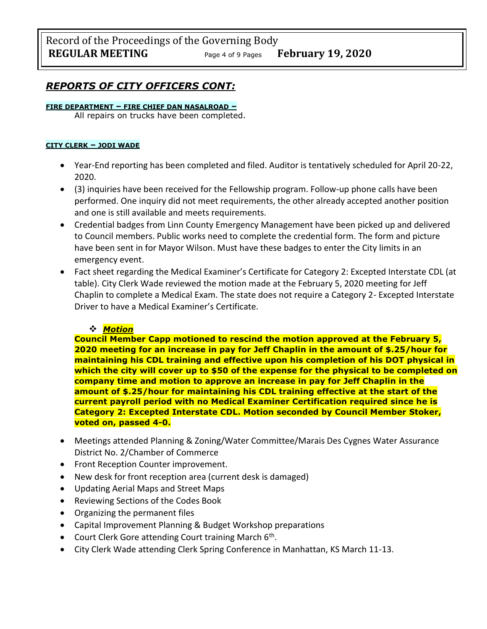# *REPORTS OF CITY OFFICERS CONT:*

#### **FIRE DEPARTMENT – FIRE CHIEF DAN NASALROAD –**

All repairs on trucks have been completed.

#### **CITY CLERK – JODI WADE**

- Year-End reporting has been completed and filed. Auditor is tentatively scheduled for April 20-22, 2020.
- (3) inquiries have been received for the Fellowship program. Follow-up phone calls have been performed. One inquiry did not meet requirements, the other already accepted another position and one is still available and meets requirements.
- Credential badges from Linn County Emergency Management have been picked up and delivered to Council members. Public works need to complete the credential form. The form and picture have been sent in for Mayor Wilson. Must have these badges to enter the City limits in an emergency event.
- Fact sheet regarding the Medical Examiner's Certificate for Category 2: Excepted Interstate CDL (at table). City Clerk Wade reviewed the motion made at the February 5, 2020 meeting for Jeff Chaplin to complete a Medical Exam. The state does not require a Category 2- Excepted Interstate Driver to have a Medical Examiner's Certificate.

## ❖ *Motion*

**Council Member Capp motioned to rescind the motion approved at the February 5, 2020 meeting for an increase in pay for Jeff Chaplin in the amount of \$.25/hour for maintaining his CDL training and effective upon his completion of his DOT physical in which the city will cover up to \$50 of the expense for the physical to be completed on company time and motion to approve an increase in pay for Jeff Chaplin in the amount of \$.25/hour for maintaining his CDL training effective at the start of the current payroll period with no Medical Examiner Certification required since he is Category 2: Excepted Interstate CDL. Motion seconded by Council Member Stoker, voted on, passed 4-0.**

- Meetings attended Planning & Zoning/Water Committee/Marais Des Cygnes Water Assurance District No. 2/Chamber of Commerce
- Front Reception Counter improvement.
- New desk for front reception area (current desk is damaged)
- Updating Aerial Maps and Street Maps
- Reviewing Sections of the Codes Book
- Organizing the permanent files
- Capital Improvement Planning & Budget Workshop preparations
- Court Clerk Gore attending Court training March 6<sup>th</sup>.
- City Clerk Wade attending Clerk Spring Conference in Manhattan, KS March 11-13.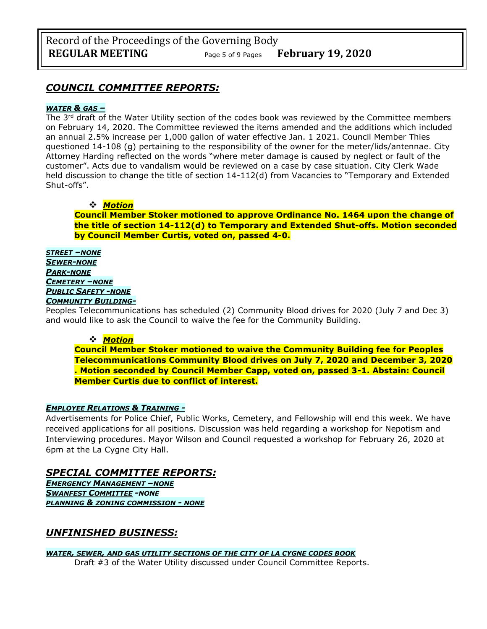# *COUNCIL COMMITTEE REPORTS:*

#### *WATER & GAS –*

The 3<sup>rd</sup> draft of the Water Utility section of the codes book was reviewed by the Committee members on February 14, 2020. The Committee reviewed the items amended and the additions which included an annual 2.5% increase per 1,000 gallon of water effective Jan. 1 2021. Council Member Thies questioned 14-108 (g) pertaining to the responsibility of the owner for the meter/lids/antennae. City Attorney Harding reflected on the words "where meter damage is caused by neglect or fault of the customer". Acts due to vandalism would be reviewed on a case by case situation. City Clerk Wade held discussion to change the title of section 14-112(d) from Vacancies to "Temporary and Extended Shut-offs".

## ❖ *Motion*

**Council Member Stoker motioned to approve Ordinance No. 1464 upon the change of the title of section 14-112(d) to Temporary and Extended Shut-offs. Motion seconded by Council Member Curtis, voted on, passed 4-0.**

*STREET –NONE SEWER-NONE PARK-NONE CEMETERY –NONE PUBLIC SAFETY -NONE COMMUNITY BUILDING-*

Peoples Telecommunications has scheduled (2) Community Blood drives for 2020 (July 7 and Dec 3) and would like to ask the Council to waive the fee for the Community Building.

### ❖ *Motion*

**Council Member Stoker motioned to waive the Community Building fee for Peoples Telecommunications Community Blood drives on July 7, 2020 and December 3, 2020 . Motion seconded by Council Member Capp, voted on, passed 3-1. Abstain: Council Member Curtis due to conflict of interest.**

### *EMPLOYEE RELATIONS & TRAINING -*

Advertisements for Police Chief, Public Works, Cemetery, and Fellowship will end this week. We have received applications for all positions. Discussion was held regarding a workshop for Nepotism and Interviewing procedures. Mayor Wilson and Council requested a workshop for February 26, 2020 at 6pm at the La Cygne City Hall.

## *SPECIAL COMMITTEE REPORTS:*

*EMERGENCY MANAGEMENT –NONE SWANFEST COMMITTEE -NONE PLANNING & ZONING COMMISSION - NONE*

## *UNFINISHED BUSINESS:*

*WATER, SEWER, AND GAS UTILITY SECTIONS OF THE CITY OF LA CYGNE CODES BOOK* Draft #3 of the Water Utility discussed under Council Committee Reports.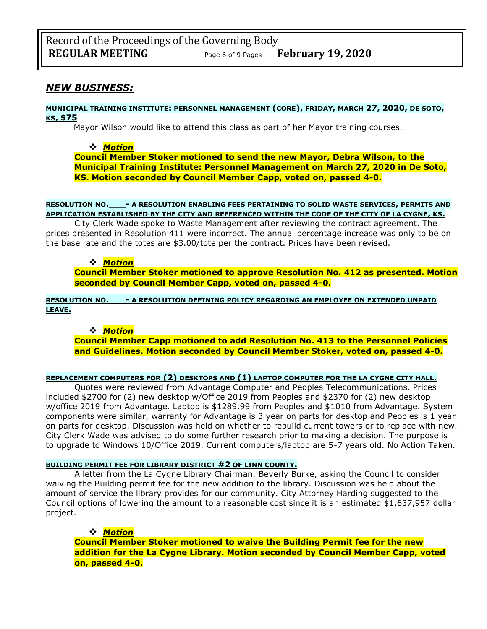## *NEW BUSINESS:*

#### **MUNICIPAL TRAINING INSTITUTE: PERSONNEL MANAGEMENT (CORE), FRIDAY, MARCH 27, 2020, DE SOTO, KS, \$75**

Mayor Wilson would like to attend this class as part of her Mayor training courses.

#### ❖ *Motion*

**Council Member Stoker motioned to send the new Mayor, Debra Wilson, to the Municipal Training Institute: Personnel Management on March 27, 2020 in De Soto, KS. Motion seconded by Council Member Capp, voted on, passed 4-0.** 

#### **RESOLUTION NO.\_\_\_- A RESOLUTION ENABLING FEES PERTAINING TO SOLID WASTE SERVICES, PERMITS AND APPLICATION ESTABLISHED BY THE CITY AND REFERENCED WITHIN THE CODE OF THE CITY OF LA CYGNE, KS.**

City Clerk Wade spoke to Waste Management after reviewing the contract agreement. The prices presented in Resolution 411 were incorrect. The annual percentage increase was only to be on the base rate and the totes are \$3.00/tote per the contract. Prices have been revised.

#### ❖ *Motion*

**Council Member Stoker motioned to approve Resolution No. 412 as presented. Motion seconded by Council Member Capp, voted on, passed 4-0.** 

**RESOLUTION NO.\_\_\_- A RESOLUTION DEFINING POLICY REGARDING AN EMPLOYEE ON EXTENDED UNPAID LEAVE.**

#### ❖ *Motion*

**Council Member Capp motioned to add Resolution No. 413 to the Personnel Policies and Guidelines. Motion seconded by Council Member Stoker, voted on, passed 4-0.** 

#### **REPLACEMENT COMPUTERS FOR (2) DESKTOPS AND (1) LAPTOP COMPUTER FOR THE LA CYGNE CITY HALL.**

Quotes were reviewed from Advantage Computer and Peoples Telecommunications. Prices included \$2700 for (2) new desktop w/Office 2019 from Peoples and \$2370 for (2) new desktop w/office 2019 from Advantage. Laptop is \$1289.99 from Peoples and \$1010 from Advantage. System components were similar, warranty for Advantage is 3 year on parts for desktop and Peoples is 1 year on parts for desktop. Discussion was held on whether to rebuild current towers or to replace with new. City Clerk Wade was advised to do some further research prior to making a decision. The purpose is to upgrade to Windows 10/Office 2019. Current computers/laptop are 5-7 years old. No Action Taken.

#### **BUILDING PERMIT FEE FOR LIBRARY DISTRICT #2 OF LINN COUNTY.**

A letter from the La Cygne Library Chairman, Beverly Burke, asking the Council to consider waiving the Building permit fee for the new addition to the library. Discussion was held about the amount of service the library provides for our community. City Attorney Harding suggested to the Council options of lowering the amount to a reasonable cost since it is an estimated \$1,637,957 dollar project.

#### ❖ *Motion*

**Council Member Stoker motioned to waive the Building Permit fee for the new addition for the La Cygne Library. Motion seconded by Council Member Capp, voted on, passed 4-0.**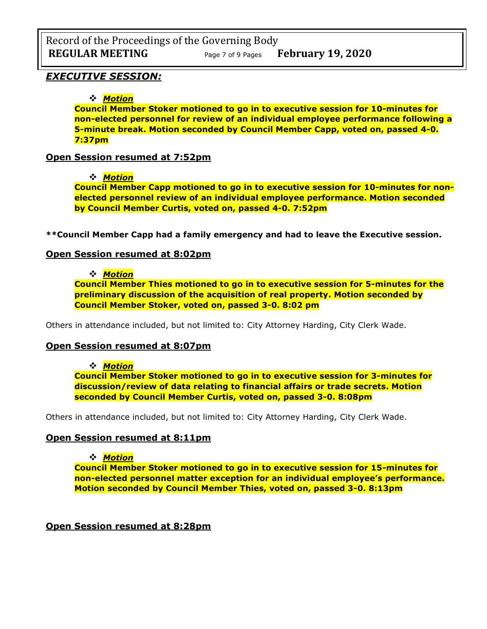## *EXECUTIVE SESSION:*

## ❖ *Motion*

**Council Member Stoker motioned to go in to executive session for 10-minutes for non-elected personnel for review of an individual employee performance following a 5-minute break. Motion seconded by Council Member Capp, voted on, passed 4-0. 7:37pm**

## **Open Session resumed at 7:52pm**

### ❖ *Motion*

**Council Member Capp motioned to go in to executive session for 10-minutes for nonelected personnel review of an individual employee performance. Motion seconded by Council Member Curtis, voted on, passed 4-0. 7:52pm**

**\*\*Council Member Capp had a family emergency and had to leave the Executive session.**

## **Open Session resumed at 8:02pm**

## ❖ *Motion*

**Council Member Thies motioned to go in to executive session for 5-minutes for the preliminary discussion of the acquisition of real property. Motion seconded by Council Member Stoker, voted on, passed 3-0. 8:02 pm**

Others in attendance included, but not limited to: City Attorney Harding, City Clerk Wade.

## **Open Session resumed at 8:07pm**

❖ *Motion* 

**Council Member Stoker motioned to go in to executive session for 3-minutes for discussion/review of data relating to financial affairs or trade secrets. Motion seconded by Council Member Curtis, voted on, passed 3-0. 8:08pm**

Others in attendance included, but not limited to: City Attorney Harding, City Clerk Wade.

## **Open Session resumed at 8:11pm**

❖ *Motion* 

**Council Member Stoker motioned to go in to executive session for 15-minutes for non-elected personnel matter exception for an individual employee's performance. Motion seconded by Council Member Thies, voted on, passed 3-0. 8:13pm**

**Open Session resumed at 8:28pm**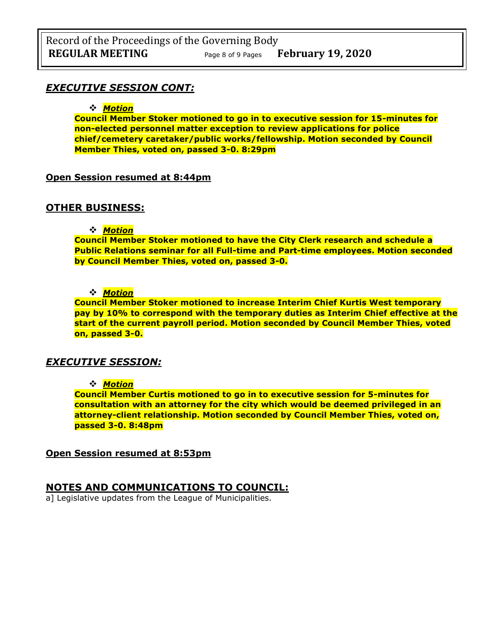## *EXECUTIVE SESSION CONT:*

#### ❖ *Motion*

**Council Member Stoker motioned to go in to executive session for 15-minutes for non-elected personnel matter exception to review applications for police chief/cemetery caretaker/public works/fellowship. Motion seconded by Council Member Thies, voted on, passed 3-0. 8:29pm**

### **Open Session resumed at 8:44pm**

## **OTHER BUSINESS:**

❖ *Motion* 

**Council Member Stoker motioned to have the City Clerk research and schedule a Public Relations seminar for all Full-time and Part-time employees. Motion seconded by Council Member Thies, voted on, passed 3-0.**

### ❖ *Motion*

**Council Member Stoker motioned to increase Interim Chief Kurtis West temporary pay by 10% to correspond with the temporary duties as Interim Chief effective at the start of the current payroll period. Motion seconded by Council Member Thies, voted on, passed 3-0.**

## *EXECUTIVE SESSION:*

### ❖ *Motion*

**Council Member Curtis motioned to go in to executive session for 5-minutes for consultation with an attorney for the city which would be deemed privileged in an attorney-client relationship. Motion seconded by Council Member Thies, voted on, passed 3-0. 8:48pm**

**Open Session resumed at 8:53pm**

## **NOTES AND COMMUNICATIONS TO COUNCIL:**

a] Legislative updates from the League of Municipalities.